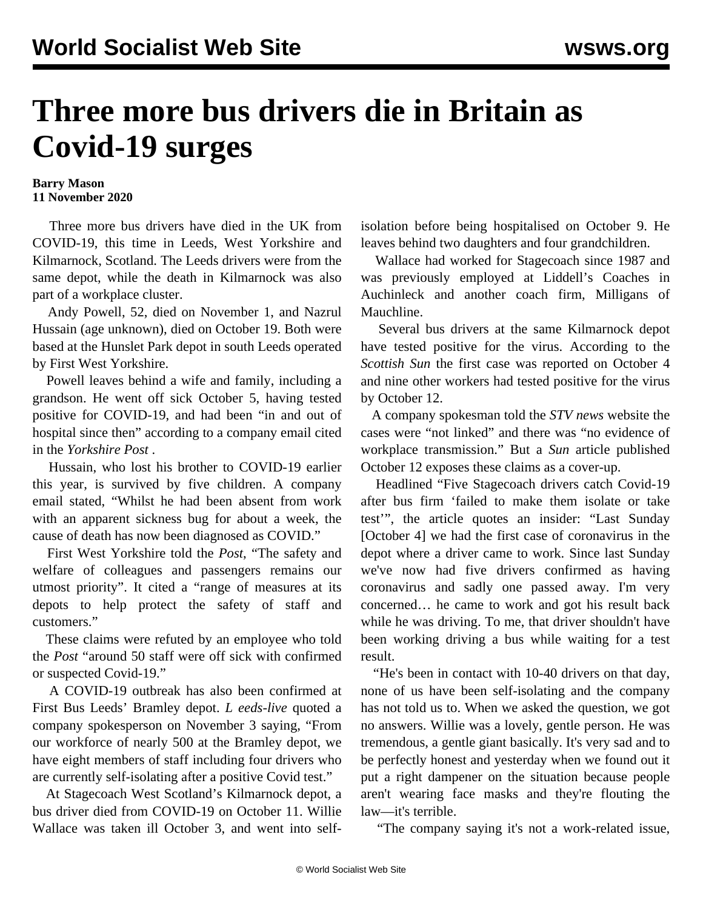## **Three more bus drivers die in Britain as Covid-19 surges**

## **Barry Mason 11 November 2020**

 Three more bus drivers have died in the UK from COVID-19, this time in Leeds, West Yorkshire and Kilmarnock, Scotland. The Leeds drivers were from the same depot, while the death in Kilmarnock was also part of a workplace cluster.

 Andy Powell, 52, died on November 1, and Nazrul Hussain (age unknown), died on October 19. Both were based at the Hunslet Park depot in south Leeds operated by First West Yorkshire.

 Powell leaves behind a wife and family, including a grandson. He went off sick October 5, having tested positive for COVID-19, and had been "in and out of hospital since then" according to a company email cited in the *Yorkshire Post* .

 Hussain, who lost his brother to COVID-19 earlier this year, is survived by five children. A company email stated, "Whilst he had been absent from work with an apparent sickness bug for about a week, the cause of death has now been diagnosed as COVID."

 First West Yorkshire told the *Post*, "The safety and welfare of colleagues and passengers remains our utmost priority". It cited a "range of measures at its depots to help protect the safety of staff and customers."

 These claims were refuted by an employee who told the *Post* "around 50 staff were off sick with confirmed or suspected Covid-19."

 A COVID-19 outbreak has also been confirmed at First Bus Leeds' Bramley depot. *L eeds-live* quoted a company spokesperson on November 3 saying, "From our workforce of nearly 500 at the Bramley depot, we have eight members of staff including four drivers who are currently self-isolating after a positive Covid test."

 At Stagecoach West Scotland's Kilmarnock depot, a bus driver died from COVID-19 on October 11. Willie Wallace was taken ill October 3, and went into selfisolation before being hospitalised on October 9. He leaves behind two daughters and four grandchildren.

 Wallace had worked for Stagecoach since 1987 and was previously employed at Liddell's Coaches in Auchinleck and another coach firm, Milligans of Mauchline.

 Several bus drivers at the same Kilmarnock depot have tested positive for the virus. According to the *Scottish Sun* the first case was reported on October 4 and nine other workers had tested positive for the virus by October 12.

 A company spokesman told the *STV news* website the cases were "not linked" and there was "no evidence of workplace transmission." But a *Sun* article published October 12 exposes these claims as a cover-up.

 Headlined "Five Stagecoach drivers catch Covid-19 after bus firm 'failed to make them isolate or take test'", the article quotes an insider: "Last Sunday [October 4] we had the first case of coronavirus in the depot where a driver came to work. Since last Sunday we've now had five drivers confirmed as having coronavirus and sadly one passed away. I'm very concerned… he came to work and got his result back while he was driving. To me, that driver shouldn't have been working driving a bus while waiting for a test result.

 "He's been in contact with 10-40 drivers on that day, none of us have been self-isolating and the company has not told us to. When we asked the question, we got no answers. Willie was a lovely, gentle person. He was tremendous, a gentle giant basically. It's very sad and to be perfectly honest and yesterday when we found out it put a right dampener on the situation because people aren't wearing face masks and they're flouting the law—it's terrible.

"The company saying it's not a work-related issue,